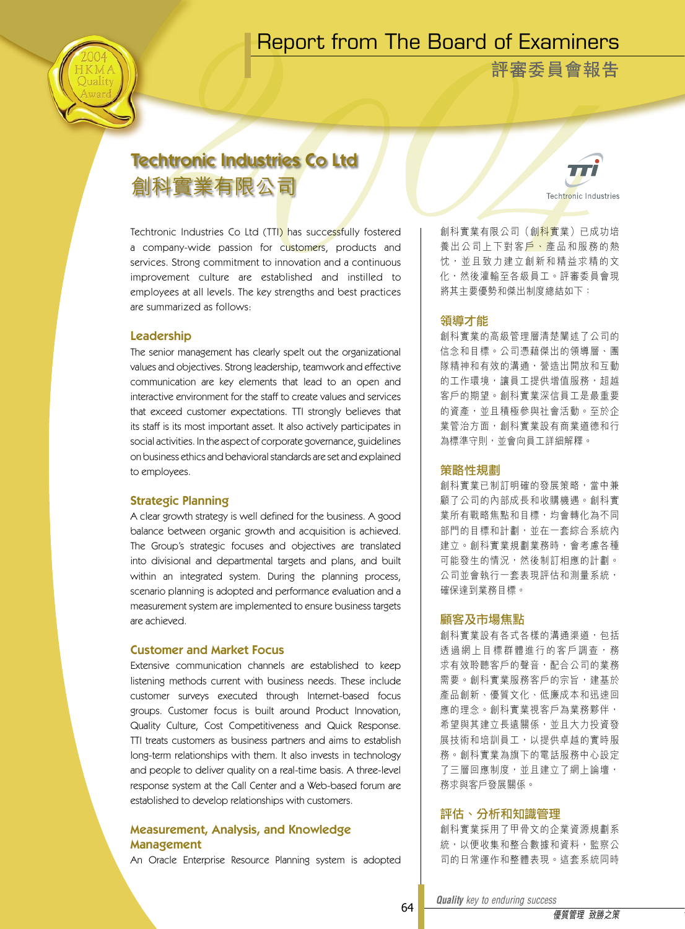# Report from The Board of Examiners



**評審委員會報告**

# Techtronic Industries Co Ltd 創科實業有限公司

Techtronic Industries Co Ltd (TTI) has successfully fostered a company-wide passion for customers, products and services. Strong commitment to innovation and a continuous improvement culture are established and instilled to employees at all levels. The key strengths and best practices are summarized as follows:

## Leadership

The senior management has clearly spelt out the organizational values and objectives. Strong leadership, teamwork and effective communication are key elements that lead to an open and interactive environment for the staff to create values and services that exceed customer expectations. TTI strongly believes that its staff is its most important asset. It also actively participates in social activities. In the aspect of corporate governance, guidelines on business ethics and behavioral standards are set and explained to employees.

# Strategic Planning

A clear growth strategy is well defined for the business. A good balance between organic growth and acquisition is achieved. The Group's strategic focuses and objectives are translated into divisional and departmental targets and plans, and built within an integrated system. During the planning process, scenario planning is adopted and performance evaluation and a measurement system are implemented to ensure business targets are achieved.

#### Customer and Market Focus

Extensive communication channels are established to keep listening methods current with business needs. These include customer surveys executed through Internet-based focus groups. Customer focus is built around Product Innovation, Quality Culture, Cost Competitiveness and Quick Response. TTI treats customers as business partners and aims to establish long-term relationships with them. It also invests in technology and people to deliver quality on a real-time basis. A three-level response system at the Call Center and a Web-based forum are established to develop relationships with customers.

# Measurement, Analysis, and Knowledge Management

An Oracle Enterprise Resource Planning system is adopted

Techtronic Industries 創科實業有限公司(創科實業)已成功培 養出公司上下對客戶、產品和服務的熱 忱, 並且致力建立創新和精益求精的文

將其主要優勢和傑出制度總結如下:

# 領導才能

創科實業的高級管理層清楚闡述了公司的 信念和目標。公司憑藉傑出的領導層、團 隊精神和有效的溝通,營造出開放和互動 的工作環境,讓員工提供增值服務,超越 客戶的期望。創科實業深信員工是最重要 的資產,並且積極參與社會活動。至於企 業管治方面,創科實業設有商業道德和行 為標準守則,並會向員工詳細解釋。

化,然後灌輸至各級員工。評審委員會現

#### 策略性規劃

創科實業已制訂明確的發展策略,當中兼 顧了公司的內部成長和收購機遇。創科實 業所有戰略焦點和目標,均會轉化為不同 部門的目標和計劃,並在一套綜合系統內 建立。創科實業規劃業務時,會考慮各種 可能發生的情況,然後制訂相應的計劃。 公司並會執行一套表現評估和測量系統, 確保達到業務目標。

#### 顧客及市場焦點

創科實業設有各式各樣的溝通渠道,包括 透 過 網 上 目 標 群 體 進 行 的 客 戶 調 查 , 務 求有效聆聽客戶的聲音,配合公司的業務 需要。創科實業服務客戶的宗旨,建基於 產品創新、優質文化、低廉成本和迅速回 應的理念。創科實業視客戶為業務夥伴, 希望與其建立長遠關係,並且大力投資發 展技術和培訓員工,以提供卓越的實時服 務。創科實業為旗下的電話服務中心設定 了三層回應制度,並且建立了網上論壇, 務求與客戶發展關係。

#### 評估、分析和知識管理

創科實業採用了甲骨文的企業資源規劃系 統,以便收集和整合數據和資料,監察公 司的日常運作和整體表現。這套系統同時

*Quality key to enduring success Quality key to enduring success*